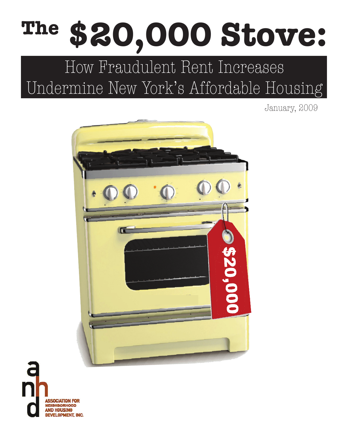# **The \$20,000 Stove:**

## How Fraudulent Rent Increases Undermine New York's Affordable Housing

January, 2009



**SSOCIATION FOR NEIGHBORHOOD NND HOUSING DEVELOPMENT, INC.**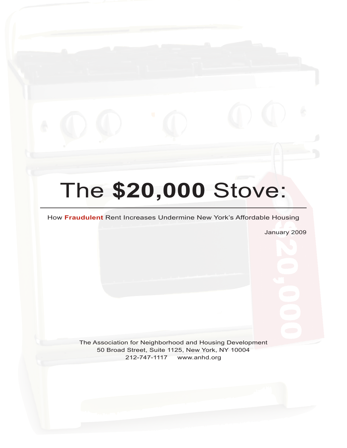# The **\$20,000** Stove:

#### How **Fraudulent** Rent Increases Undermine New York's Affordable Housing

January 2009

The Association for Neighborhood and Housing Development 50 Broad Street, Suite 1125, New York, NY 10004 212-747-1117 www.anhd.org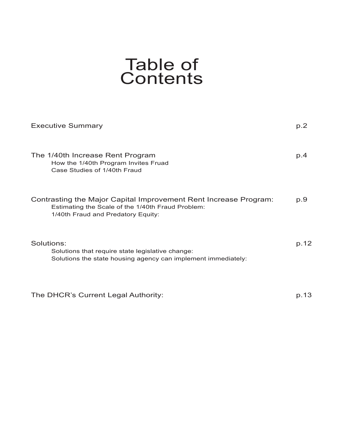### Table of Contents

| <b>Executive Summary</b>                                                                                                                                    | p.2  |
|-------------------------------------------------------------------------------------------------------------------------------------------------------------|------|
| The 1/40th Increase Rent Program<br>How the 1/40th Program Invites Fruad<br>Case Studies of 1/40th Fraud                                                    | p.4  |
| Contrasting the Major Capital Improvement Rent Increase Program:<br>Estimating the Scale of the 1/40th Fraud Problem:<br>1/40th Fraud and Predatory Equity: | p.9  |
| Solutions:<br>Solutions that require state legislative change:<br>Solutions the state housing agency can implement immediately:                             | p.12 |

The DHCR's Current Legal Authority: p.13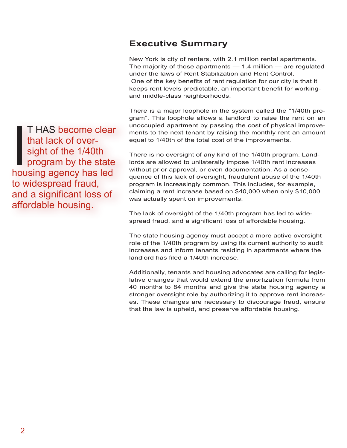#### **Executive Summary**

New York is city of renters, with 2.1 million rental apartments. The majority of those apartments — 1.4 million — are regulated under the laws of Rent Stabilization and Rent Control. One of the key benefits of rent regulation for our city is that it keeps rent levels predictable, an important benefit for workingand middle-class neighborhoods.

There is a major loophole in the system called the "1/40th program". This loophole allows a landlord to raise the rent on an unoccupied apartment by passing the cost of physical improvements to the next tenant by raising the monthly rent an amount equal to 1/40th of the total cost of the improvements.

There is no oversight of any kind of the 1/40th program. Landlords are allowed to unilaterally impose 1/40th rent increases without prior approval, or even documentation. As a consequence of this lack of oversight, fraudulent abuse of the 1/40th program is increasingly common. This includes, for example, claiming a rent increase based on \$40,000 when only \$10,000 was actually spent on improvements.

The lack of oversight of the 1/40th program has led to widespread fraud, and a significant loss of affordable housing.

The state housing agency must accept a more active oversight role of the 1/40th program by using its current authority to audit increases and inform tenants residing in apartments where the landlord has filed a 1/40th increase.

Additionally, tenants and housing advocates are calling for legislative changes that would extend the amortization formula from 40 months to 84 months and give the state housing agency a stronger oversight role by authorizing it to approve rent increases. These changes are necessary to discourage fraud, ensure that the law is upheld, and preserve affordable housing.

T HAS become clear<br>that lack of over-<br>sight of the 1/40th<br>program by the state<br>housing agency has led T HAS become clear that lack of oversight of the 1/40th **program by the state** to widespread fraud, and a significant loss of affordable housing.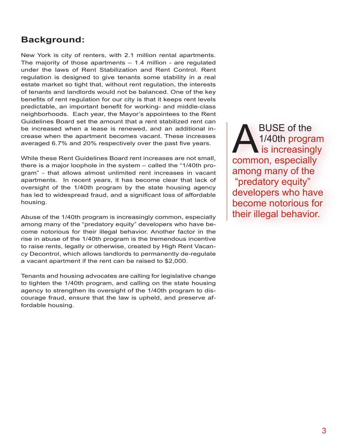#### **Background:**

New York is city of renters, with 2.1 million rental apartments. The majority of those apartments  $-1.4$  million - are regulated under the laws of Rent Stabilization and Rent Control. Rent regulation is designed to give tenants some stability in a real estate market so tight that, without rent regulation, the interests of tenants and landlords would not be balanced. One of the key benefits of rent regulation for our city is that it keeps rent levels predictable, an important benefit for working- and middle-class neighborhoods. Each year, the Mayor's appointees to the Rent Guidelines Board set the amount that a rent stabilized rent can be increased when a lease is renewed, and an additional increase when the apartment becomes vacant. These increases averaged 6.7% and 20% respectively over the past five years.

While these Rent Guidelines Board rent increases are not small, there is a major loophole in the system – called the "1/40th program" - that allows almost unlimited rent increases in vacant apartments. In recent years, it has become clear that lack of oversight of the 1/40th program by the state housing agency has led to widespread fraud, and a significant loss of affordable housing.

Abuse of the 1/40th program is increasingly common, especially among many of the "predatory equity" developers who have become notorious for their illegal behavior. Another factor in the rise in abuse of the 1/40th program is the tremendous incentive to raise rents, legally or otherwise, created by High Rent Vacancy Decontrol, which allows landlords to permanently de-regulate a vacant apartment if the rent can be raised to \$2,000.

Tenants and housing advocates are calling for legislative change to tighten the 1/40th program, and calling on the state housing agency to strengthen its oversight of the 1/40th program to discourage fraud, ensure that the law is upheld, and preserve affordable housing.

BUSE of the<br>1/40th program<br>common especial 1/40th program is increasingly common, especially among many of the "predatory equity" developers who have become notorious for their illegal behavior.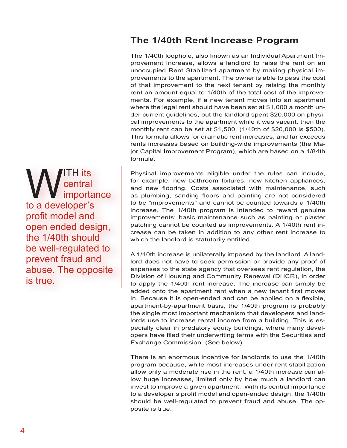#### **The 1/40th Rent Increase Program**

The 1/40th loophole, also known as an Individual Apartment Improvement Increase, allows a landlord to raise the rent on an unoccupied Rent Stabilized apartment by making physical improvements to the apartment. The owner is able to pass the cost of that improvement to the next tenant by raising the monthly rent an amount equal to 1/40th of the total cost of the improvements. For example, if a new tenant moves into an apartment where the legal rent should have been set at \$1,000 a month under current guidelines, but the landlord spent \$20,000 on physical improvements to the apartment while it was vacant, then the monthly rent can be set at \$1,500. (1/40th of \$20,000 is \$500). This formula allows for dramatic rent increases, and far exceeds rents increases based on building-wide improvements (the Major Capital Improvement Program), which are based on a 1/84th formula.

Physical improvements eligible under the rules can include, for example, new bathroom fixtures, new kitchen appliances, and new flooring. Costs associated with maintenance, such as plumbing, sanding floors and painting are not considered to be "improvements" and cannot be counted towards a 1/40th increase. The 1/40th program is intended to reward genuine improvements; basic maintenance such as painting or plaster patching cannot be counted as improvements. A 1/40th rent increase can be taken in addition to any other rent increase to which the landlord is statutorily entitled.

A 1/40th increase is unilaterally imposed by the landlord. A landlord does not have to seek permission or provide any proof of expenses to the state agency that oversees rent regulation, the Division of Housing and Community Renewal (DHCR), in order to apply the 1/40th rent increase. The increase can simply be added onto the apartment rent when a new tenant first moves in. Because it is open-ended and can be applied on a flexible, apartment-by-apartment basis, the 1/40th program is probably the single most important mechanism that developers and landlords use to increase rental income from a building. This is especially clear in predatory equity buildings, where many developers have filed their underwriting terms with the Securities and Exchange Commission. (See below).

There is an enormous incentive for landlords to use the 1/40th program because, while most increases under rent stabilization allow only a moderate rise in the rent, a 1/40th increase can allow huge increases, limited only by how much a landlord can invest to improve a given apartment. With its central importance to a developer's profit model and open-ended design, the 1/40th should be well-regulated to prevent fraud and abuse. The opposite is true.

WE CENTER ITS<br>
In a developer's central importance to a developer's profit model and open ended design, the 1/40th should be well-regulated to prevent fraud and abuse. The opposite is true.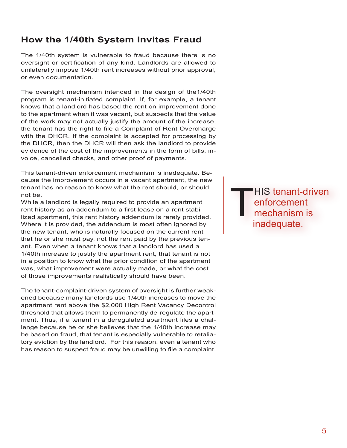#### **How the 1/40th System Invites Fraud**

The 1/40th system is vulnerable to fraud because there is no oversight or certification of any kind. Landlords are allowed to unilaterally impose 1/40th rent increases without prior approval, or even documentation.

The oversight mechanism intended in the design of the1/40th program is tenant-initiated complaint. If, for example, a tenant knows that a landlord has based the rent on improvement done to the apartment when it was vacant, but suspects that the value of the work may not actually justify the amount of the increase, the tenant has the right to file a Complaint of Rent Overcharge with the DHCR. If the complaint is accepted for processing by the DHCR, then the DHCR will then ask the landlord to provide evidence of the cost of the improvements in the form of bills, invoice, cancelled checks, and other proof of payments.

This tenant-driven enforcement mechanism is inadequate. Because the improvement occurs in a vacant apartment, the new tenant has no reason to know what the rent should, or should not be.

While a landlord is legally required to provide an apartment rent history as an addendum to a first lease on a rent stabilized apartment, this rent history addendum is rarely provided. Where it is provided, the addendum is most often ignored by the new tenant, who is naturally focused on the current rent that he or she must pay, not the rent paid by the previous tenant. Even when a tenant knows that a landlord has used a 1/40th increase to justify the apartment rent, that tenant is not in a position to know what the prior condition of the apartment was, what improvement were actually made, or what the cost of those improvements realistically should have been.

The tenant-complaint-driven system of oversight is further weakened because many landlords use 1/40th increases to move the apartment rent above the \$2,000 High Rent Vacancy Decontrol threshold that allows them to permanently de-regulate the apartment. Thus, if a tenant in a deregulated apartment files a challenge because he or she believes that the 1/40th increase may be based on fraud, that tenant is especially vulnerable to retaliatory eviction by the landlord. For this reason, even a tenant who has reason to suspect fraud may be unwilling to file a complaint.

'HIS tenant-driven enforcement mechanism is inadequate.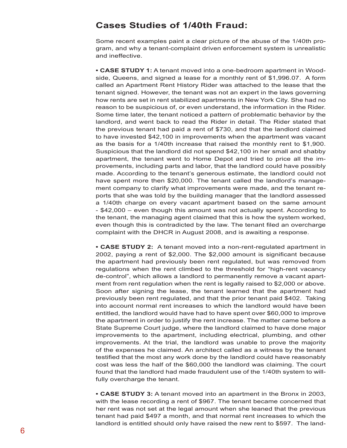#### **Cases Studies of 1/40th Fraud:**

Some recent examples paint a clear picture of the abuse of the 1/40th program, and why a tenant-complaint driven enforcement system is unrealistic and ineffective.

**• Case Study 1:** A tenant moved into a one-bedroom apartment in Woodside, Queens, and signed a lease for a monthly rent of \$1,996.07. A form called an Apartment Rent History Rider was attached to the lease that the tenant signed. However, the tenant was not an expert in the laws governing how rents are set in rent stabilized apartments in New York City. She had no reason to be suspicious of, or even understand, the information in the Rider. Some time later, the tenant noticed a pattern of problematic behavior by the landlord, and went back to read the Rider in detail. The Rider stated that the previous tenant had paid a rent of \$730, and that the landlord claimed to have invested \$42,100 in improvements when the apartment was vacant as the basis for a 1/40th increase that raised the monthly rent to \$1,900. Suspicious that the landlord did not spend \$42,100 in her small and shabby apartment, the tenant went to Home Depot and tried to price all the improvements, including parts and labor, that the landlord could have possibly made. According to the tenant's generous estimate, the landlord could not have spent more then \$20,000. The tenant called the landlord's management company to clarify what improvements were made, and the tenant reports that she was told by the building manager that the landlord assessed a 1/40th charge on every vacant apartment based on the same amount - \$42,000 – even though this amount was not actually spent. According to the tenant, the managing agent claimed that this is how the system worked, even though this is contradicted by the law. The tenant filed an overcharge complaint with the DHCR in August 2008, and is awaiting a response.

**• Case Study 2:** A tenant moved into a non-rent-regulated apartment in 2002, paying a rent of \$2,000. The \$2,000 amount is significant because the apartment had previously been rent regulated, but was removed from regulations when the rent climbed to the threshold for "high-rent vacancy de-control", which allows a landlord to permanently remove a vacant apartment from rent regulation when the rent is legally raised to \$2,000 or above. Soon after signing the lease, the tenant learned that the apartment had previously been rent regulated, and that the prior tenant paid \$402. Taking into account normal rent increases to which the landlord would have been entitled, the landlord would have had to have spent over \$60,000 to improve the apartment in order to justify the rent increase. The matter came before a State Supreme Court judge, where the landlord claimed to have done major improvements to the apartment, including electrical, plumbing, and other improvements. At the trial, the landlord was unable to prove the majority of the expenses he claimed. An architect called as a witness by the tenant testified that the most any work done by the landlord could have reasonably cost was less the half of the \$60,000 the landlord was claiming. The court found that the landlord had made fraudulent use of the 1/40th system to willfully overcharge the tenant.

**• Case Study 3:** A tenant moved into an apartment in the Bronx in 2003, with the lease recording a rent of \$967. The tenant became concerned that her rent was not set at the legal amount when she leaned that the previous tenant had paid \$497 a month, and that normal rent increases to which the landlord is entitled should only have raised the new rent to \$597. The land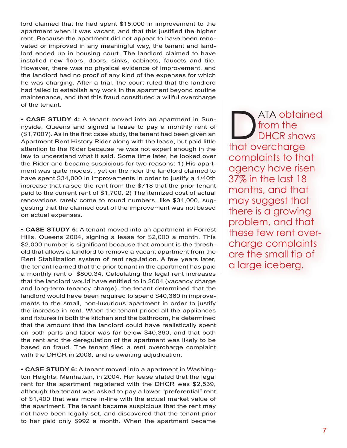lord claimed that he had spent \$15,000 in improvement to the apartment when it was vacant, and that this justified the higher rent. Because the apartment did not appear to have been renovated or improved in any meaningful way, the tenant and landlord ended up in housing court. The landlord claimed to have installed new floors, doors, sinks, cabinets, faucets and tile. However, there was no physical evidence of improvement, and the landlord had no proof of any kind of the expenses for which he was charging. After a trial, the court ruled that the landlord had failed to establish any work in the apartment beyond routine maintenance, and that this fraud constituted a willful overcharge of the tenant.

**• Case Study 4:** A tenant moved into an apartment in Sunnyside, Queens and signed a lease to pay a monthly rent of (\$1,700?). As in the first case study, the tenant had been given an Apartment Rent History Rider along with the lease, but paid little attention to the Rider because he was not expert enough in the law to understand what it said. Some time later, he looked over the Rider and became suspicious for two reasons: 1) His apartment was quite modest , yet on the rider the landlord claimed to have spent \$34,000 in improvements in order to justify a 1/40th increase that raised the rent from the \$718 that the prior tenant paid to the current rent of \$1,700. 2) The itemized cost of actual renovations rarely come to round numbers, like \$34,000, suggesting that the claimed cost of the improvement was not based on actual expenses.

**• Case Study 5:** A tenant moved into an apartment in Forrest Hills, Queens 2004, signing a lease for \$2,000 a month. This \$2,000 number is significant because that amount is the threshold that allows a landlord to remove a vacant apartment from the Rent Stabilization system of rent regulation. A few years later, the tenant learned that the prior tenant in the apartment has paid a monthly rent of \$800.34. Calculating the legal rent increases that the landlord would have entitled to in 2004 (vacancy charge and long-term tenancy charge), the tenant determined that the landlord would have been required to spend \$40,360 in improvements to the small, non-luxurious apartment in order to justify the increase in rent. When the tenant priced all the appliances and fixtures in both the kitchen and the bathroom, he determined that the amount that the landlord could have realistically spent on both parts and labor was far below \$40,360, and that both the rent and the deregulation of the apartment was likely to be based on fraud. The tenant filed a rent overcharge complaint with the DHCR in 2008, and is awaiting adjudication.

**• CASE STUDY 6:** A tenant moved into a apartment in Washington Heights, Manhattan, in 2004. Her lease stated that the legal rent for the apartment registered with the DHCR was \$2,539, although the tenant was asked to pay a lower "preferential" rent of \$1,400 that was more in-line with the actual market value of the apartment. The tenant became suspicious that the rent may not have been legally set, and discovered that the tenant prior to her paid only \$992 a month. When the apartment became

ATA obtained<br>from the<br>that overcharge from the DHCR shows that overcharge complaints to that agency have risen 37% in the last 18 months, and that may suggest that there is a growing problem, and that these few rent overcharge complaints are the small tip of a large iceberg.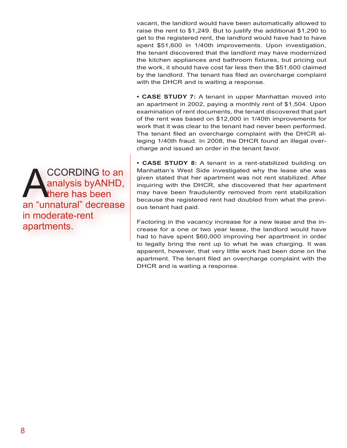vacant, the landlord would have been automatically allowed to raise the rent to \$1,249. But to justify the additional \$1,290 to get to the registered rent, the landlord would have had to have spent \$51,600 in 1/40th improvements. Upon investigation, the tenant discovered that the landlord may have modernized the kitchen appliances and bathroom fixtures, but pricing out the work, it should have cost far less then the \$51,600 claimed by the landlord. The tenant has filed an overcharge complaint with the DHCR and is waiting a response.

**• Case Study 7:** A tenant in upper Manhattan moved into an apartment in 2002, paying a monthly rent of \$1,504. Upon examination of rent documents, the tenant discovered that part of the rent was based on \$12,000 in 1/40th improvements for work that it was clear to the tenant had never been performed. The tenant filed an overcharge complaint with the DHCR alleging 1/40th fraud. In 2008, the DHCR found an illegal overcharge and issued an order in the tenant favor.

**• Case Study 8:** A tenant in a rent-stabilized building on Manhattan's West Side investigated why the lease she was given stated that her apartment was not rent stabilized. After inquiring with the DHCR, she discovered that her apartment may have been fraudulently removed from rent stabilization because the registered rent had doubled from what the previous tenant had paid.

Factoring in the vacancy increase for a new lease and the increase for a one or two year lease, the landlord would have had to have spent \$60,000 improving her apartment in order to legally bring the rent up to what he was charging. It was apparent, however, that very little work had been done on the apartment. The tenant filed an overcharge complaint with the DHCR and is waiting a response.

CCORDING to an<br>
analysis by ANHD,<br>
an "unnatural" decrease analysis byANHD, there has been an "unnatural" decrease in moderate-rent apartments.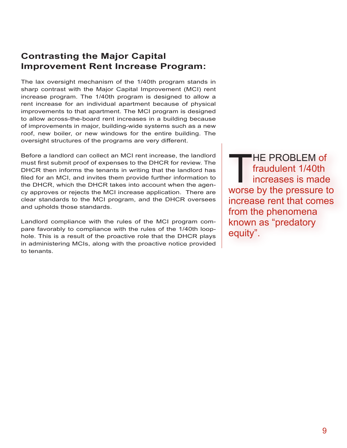#### **Contrasting the Major Capital Improvement Rent Increase Program:**

The lax oversight mechanism of the 1/40th program stands in sharp contrast with the Major Capital Improvement (MCI) rent increase program. The 1/40th program is designed to allow a rent increase for an individual apartment because of physical improvements to that apartment. The MCI program is designed to allow across-the-board rent increases in a building because of improvements in major, building-wide systems such as a new roof, new boiler, or new windows for the entire building. The oversight structures of the programs are very different.

Before a landlord can collect an MCI rent increase, the landlord must first submit proof of expenses to the DHCR for review. The DHCR then informs the tenants in writing that the landlord has filed for an MCI, and invites them provide further information to the DHCR, which the DHCR takes into account when the agency approves or rejects the MCI increase application. There are clear standards to the MCI program, and the DHCR oversees and upholds those standards.

Landlord compliance with the rules of the MCI program compare favorably to compliance with the rules of the 1/40th loophole. This is a result of the proactive role that the DHCR plays in administering MCIs, along with the proactive notice provided to tenants.

THE PROBLEM of<br>fraudulent 1/40th<br>increases is made<br>worse by the pressure to fraudulent 1/40th increases is made worse by the pressure to increase rent that comes from the phenomena known as "predatory equity".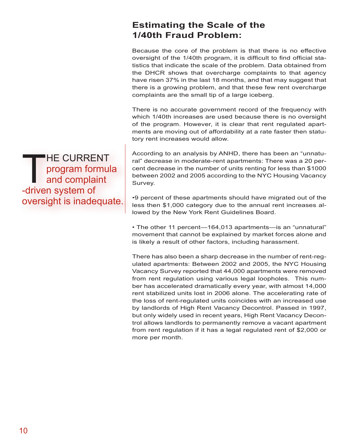#### **Estimating the Scale of the 1/40th Fraud Problem:**

Because the core of the problem is that there is no effective oversight of the 1/40th program, it is difficult to find official statistics that indicate the scale of the problem. Data obtained from the DHCR shows that overcharge complaints to that agency have risen 37% in the last 18 months, and that may suggest that there is a growing problem, and that these few rent overcharge complaints are the small tip of a large iceberg.

There is no accurate government record of the frequency with which 1/40th increases are used because there is no oversight of the program. However, it is clear that rent regulated apartments are moving out of affordability at a rate faster then statutory rent increases would allow.

According to an analysis by ANHD, there has been an "unnatural" decrease in moderate-rent apartments: There was a 20 percent decrease in the number of units renting for less than \$1000 between 2002 and 2005 according to the NYC Housing Vacancy Survey.

•9 percent of these apartments should have migrated out of the less then \$1,000 category due to the annual rent increases allowed by the New York Rent Guidelines Board.

• The other 11 percent—164,013 apartments—is an "unnatural" movement that cannot be explained by market forces alone and is likely a result of other factors, including harassment.

There has also been a sharp decrease in the number of rent-regulated apartments: Between 2002 and 2005, the NYC Housing Vacancy Survey reported that 44,000 apartments were removed from rent regulation using various legal loopholes. This number has accelerated dramatically every year, with almost 14,000 rent stabilized units lost in 2006 alone. The accelerating rate of the loss of rent-regulated units coincides with an increased use by landlords of High Rent Vacancy Decontrol. Passed in 1997, but only widely used in recent years, High Rent Vacancy Decontrol allows landlords to permanently remove a vacant apartment from rent regulation if it has a legal regulated rent of \$2,000 or more per month.

THE C<br>and d<br>-driven sysprogram formula and complaint -driven system of oversight is inadequate.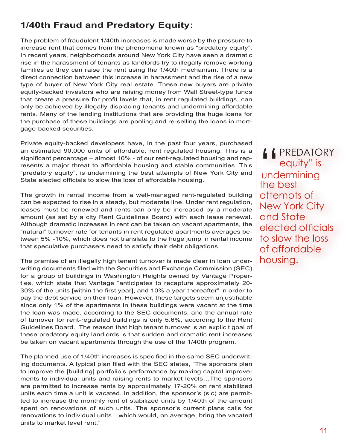#### **1/40th Fraud and Predatory Equity:**

The problem of fraudulent 1/40th increases is made worse by the pressure to increase rent that comes from the phenomena known as "predatory equity". In recent years, neighborhoods around New York City have seen a dramatic rise in the harassment of tenants as landlords try to illegally remove working families so they can raise the rent using the 1/40th mechanism. There is a direct connection between this increase in harassment and the rise of a new type of buyer of New York City real estate. These new buyers are private equity-backed investors who are raising money from Wall Street-type funds that create a pressure for profit levels that, in rent regulated buildings, can only be achieved by illegally displacing tenants and undermining affordable rents. Many of the lending institutions that are providing the huge loans for the purchase of these buildings are pooling and re-selling the loans in mortgage-backed securities.

Private equity-backed developers have, in the past four years, purchased an estimated 90,000 units of affordable, rent regulated housing. This is a significant percentage – almost 10% - of our rent-regulated housing and represents a major threat to affordable housing and stable communities. This "predatory equity", is undermining the best attempts of New York City and State elected officials to slow the loss of affordable housing.

The growth in rental income from a well-managed rent-regulated building can be expected to rise in a steady, but moderate line. Under rent regulation, leases must be renewed and rents can only be increased by a moderate amount (as set by a city Rent Guidelines Board) with each lease renewal. Although dramatic increases in rent can be taken on vacant apartments, the "natural" turnover rate for tenants in rent regulated apartments averages between 5% -10%, which does not translate to the huge jump in rental income that speculative purchasers need to satisfy their debt obligations.

The premise of an illegally high tenant turnover is made clear in loan underwriting documents filed with the Securities and Exchange Commission (SEC) for a group of buildings in Washington Heights owned by Vantage Properties, which state that Vantage "anticipates to recapture approximately 20- 30% of the units [within the first year], and 10% a year thereafter" in order to pay the debt service on their loan. However, these targets seem unjustifiable since only 1% of the apartments in these buildings were vacant at the time the loan was made, according to the SEC documents, and the annual rate of turnover for rent-regulated buildings is only 5.6%, according to the Rent Guidelines Board. The reason that high tenant turnover is an explicit goal of these predatory equity landlords is that sudden and dramatic rent increases be taken on vacant apartments through the use of the 1/40th program.

The planned use of 1/40th increases is specified in the same SEC underwriting documents. A typical plan filed with the SEC states, "The sponsors plan to improve the [building] portfolio's performance by making capital improvements to individual units and raising rents to market levels…The sponsors are permitted to increase rents by approximately 17-20% on rent stabilized units each time a unit is vacated. In addition, the sponsor's (sic) are permitted to increase the monthly rent of stabilized units by 1/40th of the amount spent on renovations of such units. The sponsor's current plans calls for renovations to individual units…which would, on average, bring the vacated units to market level rent."

I PREDATORY<br>
equity" is<br>
undermining<br>
the best **equity**" is underminingthe best attempts of New York City and State elected officials to slow the loss of affordable housing.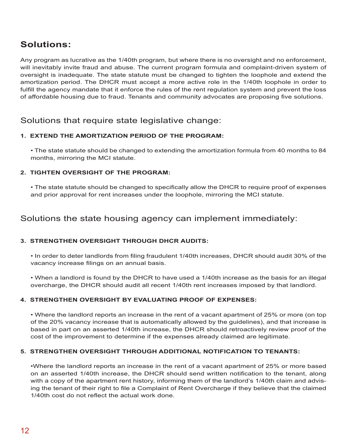#### **Solutions:**

Any program as lucrative as the 1/40th program, but where there is no oversight and no enforcement, will inevitably invite fraud and abuse. The current program formula and complaint-driven system of oversight is inadequate. The state statute must be changed to tighten the loophole and extend the amortization period. The DHCR must accept a more active role in the 1/40th loophole in order to fulfill the agency mandate that it enforce the rules of the rent regulation system and prevent the loss of affordable housing due to fraud. Tenants and community advocates are proposing five solutions.

#### Solutions that require state legislative change:

#### **1. Extend the amortization period of the program:**

• The state statute should be changed to extending the amortization formula from 40 months to 84 months, mirroring the MCI statute.

#### **2. Tighten oversight of the program:**

• The state statute should be changed to specifically allow the DHCR to require proof of expenses and prior approval for rent increases under the loophole, mirroring the MCI statute.

#### Solutions the state housing agency can implement immediately:

#### **3. Strengthen Oversight Through DHCR Audits:**

• In order to deter landlords from filing fraudulent 1/40th increases, DHCR should audit 30% of the vacancy increase filings on an annual basis.

• When a landlord is found by the DHCR to have used a 1/40th increase as the basis for an illegal overcharge, the DHCR should audit all recent 1/40th rent increases imposed by that landlord.

#### **4. Strengthen Oversight by Evaluating Proof of Expenses:**

• Where the landlord reports an increase in the rent of a vacant apartment of 25% or more (on top of the 20% vacancy increase that is automatically allowed by the guidelines), and that increase is based in part on an asserted 1/40th increase, the DHCR should retroactively review proof of the cost of the improvement to determine if the expenses already claimed are legitimate.

#### **5. Strengthen Oversight through Additional Notification to Tenants:**

•Where the landlord reports an increase in the rent of a vacant apartment of 25% or more based on an asserted 1/40th increase, the DHCR should send written notification to the tenant, along with a copy of the apartment rent history, informing them of the landlord's 1/40th claim and advising the tenant of their right to file a Complaint of Rent Overcharge if they believe that the claimed 1/40th cost do not reflect the actual work done.